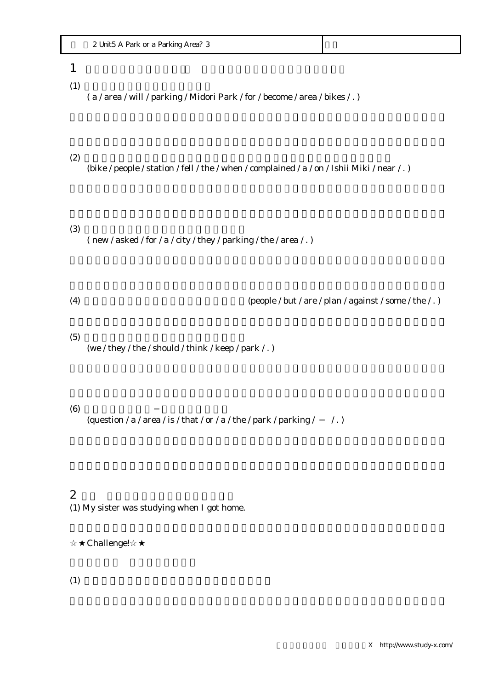| Area.<br>Parkina<br>or a<br>Unit<br>Park<br>. |  |
|-----------------------------------------------|--|
|-----------------------------------------------|--|

## $1$

 $(1)$ 

( a / area / will / parking / Midori Park / for / become / area / bikes / . )

#### $(2)$

(bike / people / station / fell / the / when / complained / a / on / Ishii Miki / near / . )

### $(3)$

( new / asked / for / a / city / they / parking / the / area / .)

(4) しかし、その計画に反対の人々もいます。(people / but / are / plan / against / some / the / . )

#### $(5)$

(we / they / the / should / think / keep / park / . )

#### $(6)$

(question / a / area / is / that / or / a / the / park / parking /  $/$  .)

# $2$

(1) My sister was studying when I got home.

## Challenge!

 $(1)$